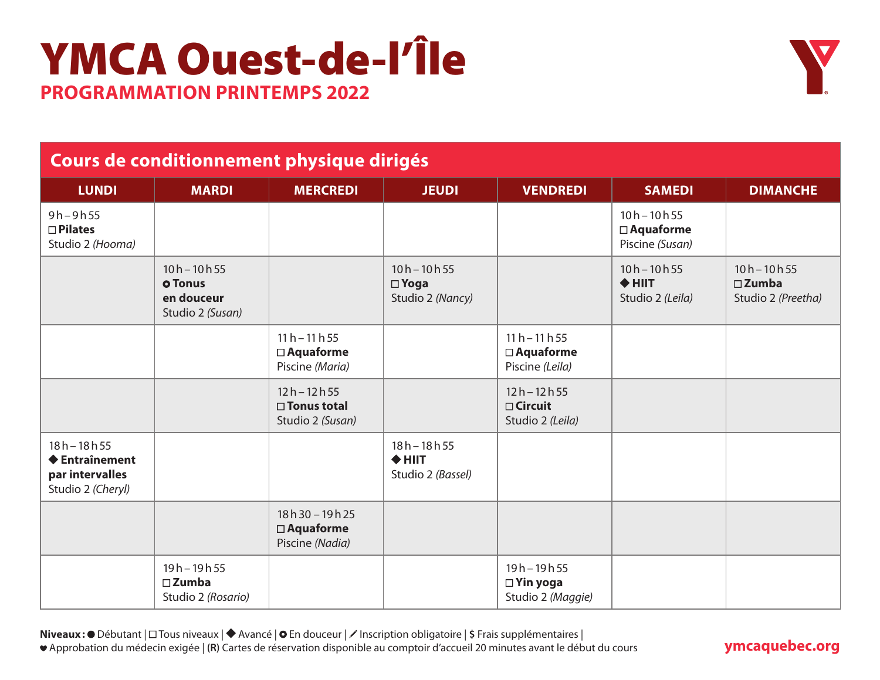## YMCA Ouest-de-l'Île **PROGRAMMATION PRINTEMPS 2022**



### **Cours de conditionnement physique dirigés**

| <b>LUNDI</b>                                                                          | <b>MARDI</b>                                                       | <b>MERCREDI</b>                                         | <b>JEUDI</b>                                         | <b>VENDREDI</b>                                         | <b>SAMEDI</b>                                         | <b>DIMANCHE</b>                                         |
|---------------------------------------------------------------------------------------|--------------------------------------------------------------------|---------------------------------------------------------|------------------------------------------------------|---------------------------------------------------------|-------------------------------------------------------|---------------------------------------------------------|
| $9h - 9h 55$<br>$\square$ Pilates<br>Studio 2 (Hooma)                                 |                                                                    |                                                         |                                                      |                                                         | $10h - 10h 55$<br>$\Box$ Aquaforme<br>Piscine (Susan) |                                                         |
|                                                                                       | $10h - 10h 55$<br><b>o</b> Tonus<br>en douceur<br>Studio 2 (Susan) |                                                         | $10h - 10h 55$<br>$\square$ Yoga<br>Studio 2 (Nancy) |                                                         | $10h - 10h 55$<br>$+$ HIIT<br>Studio 2 (Leila)        | $10h - 10h 55$<br>$\square$ Zumba<br>Studio 2 (Preetha) |
|                                                                                       |                                                                    | $11 h - 11 h 55$<br>$\Box$ Aquaforme<br>Piscine (Maria) |                                                      | $11 h - 11 h 55$<br>$\Box$ Aquaforme<br>Piscine (Leila) |                                                       |                                                         |
|                                                                                       |                                                                    | $12h - 12h 55$<br>□ Tonus total<br>Studio 2 (Susan)     |                                                      | $12h - 12h 55$<br>$\Box$ Circuit<br>Studio 2 (Leila)    |                                                       |                                                         |
| $18h - 18h55$<br>$\blacklozenge$ Entraînement<br>par intervalles<br>Studio 2 (Cheryl) |                                                                    |                                                         | $18h - 18h 55$<br>$+$ HIIT<br>Studio 2 (Bassel)      |                                                         |                                                       |                                                         |
|                                                                                       |                                                                    | $18h30 - 19h25$<br>$\Box$ Aquaforme<br>Piscine (Nadia)  |                                                      |                                                         |                                                       |                                                         |
|                                                                                       | $19h - 19h 55$<br>$\square$ Zumba<br>Studio 2 (Rosario)            |                                                         |                                                      | $19h - 19h 55$<br>$\Box$ Yin yoga<br>Studio 2 (Maggie)  |                                                       |                                                         |

**Niveaux:** ● Débutant |  $\Box$  Tous niveaux | ◆ Avancé | ● En douceur | / Inscription obligatoire | \$ Frais supplémentaires | Approbation du médecin exigée | **(R)** Cartes de réservation disponible au comptoir d'accueil 20 minutes avant le début du cours

### **ymcaquebec.org**